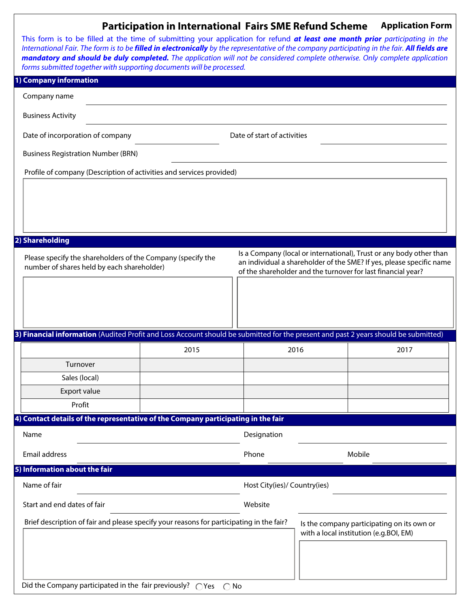## **Participation in International Fairs SME Refund Scheme Application Form**

| This form is to be filled at the time of submitting your application for refund at least one month prior participating in the<br>International Fair. The form is to be filled in electronically by the representative of the company participating in the fair. All fields are<br>mandatory and should be duly completed. The application will not be considered complete otherwise. Only complete application<br>forms submitted together with supporting documents will be processed. |      | AUVINI TUNJ SINE KERANG SENEME |                              |                                                                                                                                                                                                             |  |
|-----------------------------------------------------------------------------------------------------------------------------------------------------------------------------------------------------------------------------------------------------------------------------------------------------------------------------------------------------------------------------------------------------------------------------------------------------------------------------------------|------|--------------------------------|------------------------------|-------------------------------------------------------------------------------------------------------------------------------------------------------------------------------------------------------------|--|
| 1) Company information                                                                                                                                                                                                                                                                                                                                                                                                                                                                  |      |                                |                              |                                                                                                                                                                                                             |  |
| Company name                                                                                                                                                                                                                                                                                                                                                                                                                                                                            |      |                                |                              |                                                                                                                                                                                                             |  |
| <b>Business Activity</b>                                                                                                                                                                                                                                                                                                                                                                                                                                                                |      |                                |                              |                                                                                                                                                                                                             |  |
| Date of incorporation of company                                                                                                                                                                                                                                                                                                                                                                                                                                                        |      | Date of start of activities    |                              |                                                                                                                                                                                                             |  |
| <b>Business Registration Number (BRN)</b>                                                                                                                                                                                                                                                                                                                                                                                                                                               |      |                                |                              |                                                                                                                                                                                                             |  |
| Profile of company (Description of activities and services provided)                                                                                                                                                                                                                                                                                                                                                                                                                    |      |                                |                              |                                                                                                                                                                                                             |  |
|                                                                                                                                                                                                                                                                                                                                                                                                                                                                                         |      |                                |                              |                                                                                                                                                                                                             |  |
| 2) Shareholding                                                                                                                                                                                                                                                                                                                                                                                                                                                                         |      |                                |                              |                                                                                                                                                                                                             |  |
| Please specify the shareholders of the Company (specify the<br>number of shares held by each shareholder)                                                                                                                                                                                                                                                                                                                                                                               |      |                                |                              | Is a Company (local or international), Trust or any body other than<br>an individual a shareholder of the SME? If yes, please specific name<br>of the shareholder and the turnover for last financial year? |  |
|                                                                                                                                                                                                                                                                                                                                                                                                                                                                                         |      |                                |                              |                                                                                                                                                                                                             |  |
| 3) Financial information (Audited Profit and Loss Account should be submitted for the present and past 2 years should be submitted)                                                                                                                                                                                                                                                                                                                                                     |      |                                |                              |                                                                                                                                                                                                             |  |
|                                                                                                                                                                                                                                                                                                                                                                                                                                                                                         | 2015 |                                | 2016                         | 2017                                                                                                                                                                                                        |  |
| Turnover                                                                                                                                                                                                                                                                                                                                                                                                                                                                                |      |                                |                              |                                                                                                                                                                                                             |  |
| Sales (local)                                                                                                                                                                                                                                                                                                                                                                                                                                                                           |      |                                |                              |                                                                                                                                                                                                             |  |
| Export value                                                                                                                                                                                                                                                                                                                                                                                                                                                                            |      |                                |                              |                                                                                                                                                                                                             |  |
| Profit                                                                                                                                                                                                                                                                                                                                                                                                                                                                                  |      |                                |                              |                                                                                                                                                                                                             |  |
| 4) Contact details of the representative of the Company participating in the fair                                                                                                                                                                                                                                                                                                                                                                                                       |      |                                |                              |                                                                                                                                                                                                             |  |
| Name                                                                                                                                                                                                                                                                                                                                                                                                                                                                                    |      | Designation                    |                              |                                                                                                                                                                                                             |  |
| <b>Email address</b>                                                                                                                                                                                                                                                                                                                                                                                                                                                                    |      | Phone                          |                              | Mobile                                                                                                                                                                                                      |  |
| 5) Information about the fair                                                                                                                                                                                                                                                                                                                                                                                                                                                           |      |                                |                              |                                                                                                                                                                                                             |  |
| Name of fair                                                                                                                                                                                                                                                                                                                                                                                                                                                                            |      |                                | Host City(ies)/ Country(ies) |                                                                                                                                                                                                             |  |
| Start and end dates of fair                                                                                                                                                                                                                                                                                                                                                                                                                                                             |      | Website                        |                              |                                                                                                                                                                                                             |  |
| Brief description of fair and please specify your reasons for participating in the fair?                                                                                                                                                                                                                                                                                                                                                                                                |      |                                |                              | Is the company participating on its own or<br>with a local institution (e.g.BOI, EM)                                                                                                                        |  |
| Did the Company participated in the fair previously? $\bigcap$ Yes $\bigcap$ No                                                                                                                                                                                                                                                                                                                                                                                                         |      |                                |                              |                                                                                                                                                                                                             |  |